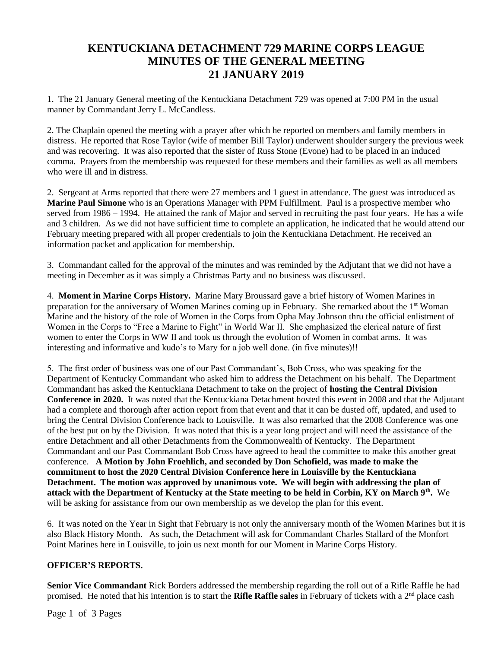## **KENTUCKIANA DETACHMENT 729 MARINE CORPS LEAGUE MINUTES OF THE GENERAL MEETING 21 JANUARY 2019**

1. The 21 January General meeting of the Kentuckiana Detachment 729 was opened at 7:00 PM in the usual manner by Commandant Jerry L. McCandless.

2. The Chaplain opened the meeting with a prayer after which he reported on members and family members in distress. He reported that Rose Taylor (wife of member Bill Taylor) underwent shoulder surgery the previous week and was recovering. It was also reported that the sister of Russ Stone (Evone) had to be placed in an induced comma. Prayers from the membership was requested for these members and their families as well as all members who were ill and in distress.

2. Sergeant at Arms reported that there were 27 members and 1 guest in attendance. The guest was introduced as **Marine Paul Simone** who is an Operations Manager with PPM Fulfillment. Paul is a prospective member who served from 1986 – 1994. He attained the rank of Major and served in recruiting the past four years. He has a wife and 3 children. As we did not have sufficient time to complete an application, he indicated that he would attend our February meeting prepared with all proper credentials to join the Kentuckiana Detachment. He received an information packet and application for membership.

3. Commandant called for the approval of the minutes and was reminded by the Adjutant that we did not have a meeting in December as it was simply a Christmas Party and no business was discussed.

4. **Moment in Marine Corps History.** Marine Mary Broussard gave a brief history of Women Marines in preparation for the anniversary of Women Marines coming up in February. She remarked about the 1st Woman Marine and the history of the role of Women in the Corps from Opha May Johnson thru the official enlistment of Women in the Corps to "Free a Marine to Fight" in World War II. She emphasized the clerical nature of first women to enter the Corps in WW II and took us through the evolution of Women in combat arms. It was interesting and informative and kudo's to Mary for a job well done. (in five minutes)!!

5. The first order of business was one of our Past Commandant's, Bob Cross, who was speaking for the Department of Kentucky Commandant who asked him to address the Detachment on his behalf. The Department Commandant has asked the Kentuckiana Detachment to take on the project of **hosting the Central Division Conference in 2020.** It was noted that the Kentuckiana Detachment hosted this event in 2008 and that the Adjutant had a complete and thorough after action report from that event and that it can be dusted off, updated, and used to bring the Central Division Conference back to Louisville. It was also remarked that the 2008 Conference was one of the best put on by the Division. It was noted that this is a year long project and will need the assistance of the entire Detachment and all other Detachments from the Commonwealth of Kentucky. The Department Commandant and our Past Commandant Bob Cross have agreed to head the committee to make this another great conference. **A Motion by John Froehlich, and seconded by Don Schofield, was made to make the commitment to host the 2020 Central Division Conference here in Louisville by the Kentuckiana Detachment. The motion was approved by unanimous vote. We will begin with addressing the plan of attack with the Department of Kentucky at the State meeting to be held in Corbin, KY on March 9th .** We will be asking for assistance from our own membership as we develop the plan for this event.

6. It was noted on the Year in Sight that February is not only the anniversary month of the Women Marines but it is also Black History Month. As such, the Detachment will ask for Commandant Charles Stallard of the Monfort Point Marines here in Louisville, to join us next month for our Moment in Marine Corps History.

## **OFFICER'S REPORTS.**

**Senior Vice Commandant** Rick Borders addressed the membership regarding the roll out of a Rifle Raffle he had promised. He noted that his intention is to start the **Rifle Raffle sales** in February of tickets with a 2<sup>nd</sup> place cash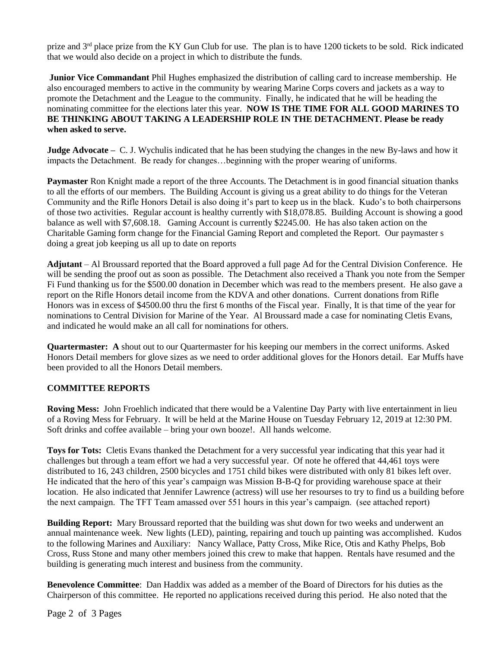prize and 3<sup>rd</sup> place prize from the KY Gun Club for use. The plan is to have 1200 tickets to be sold. Rick indicated that we would also decide on a project in which to distribute the funds.

**Junior Vice Commandant** Phil Hughes emphasized the distribution of calling card to increase membership. He also encouraged members to active in the community by wearing Marine Corps covers and jackets as a way to promote the Detachment and the League to the community. Finally, he indicated that he will be heading the nominating committee for the elections later this year. **NOW IS THE TIME FOR ALL GOOD MARINES TO BE THINKING ABOUT TAKING A LEADERSHIP ROLE IN THE DETACHMENT. Please be ready when asked to serve.**

**Judge Advocate –** C. J. Wychulis indicated that he has been studying the changes in the new By-laws and how it impacts the Detachment. Be ready for changes…beginning with the proper wearing of uniforms.

**Paymaster** Ron Knight made a report of the three Accounts. The Detachment is in good financial situation thanks to all the efforts of our members. The Building Account is giving us a great ability to do things for the Veteran Community and the Rifle Honors Detail is also doing it's part to keep us in the black. Kudo's to both chairpersons of those two activities. Regular account is healthy currently with \$18,078.85. Building Account is showing a good balance as well with \$7,608.18. Gaming Account is currently \$2245.00. He has also taken action on the Charitable Gaming form change for the Financial Gaming Report and completed the Report. Our paymaster s doing a great job keeping us all up to date on reports

**Adjutant** – Al Broussard reported that the Board approved a full page Ad for the Central Division Conference. He will be sending the proof out as soon as possible. The Detachment also received a Thank you note from the Semper Fi Fund thanking us for the \$500.00 donation in December which was read to the members present. He also gave a report on the Rifle Honors detail income from the KDVA and other donations. Current donations from Rifle Honors was in excess of \$4500.00 thru the first 6 months of the Fiscal year. Finally, It is that time of the year for nominations to Central Division for Marine of the Year. Al Broussard made a case for nominating Cletis Evans, and indicated he would make an all call for nominations for others.

**Quartermaster: A** shout out to our Quartermaster for his keeping our members in the correct uniforms. Asked Honors Detail members for glove sizes as we need to order additional gloves for the Honors detail. Ear Muffs have been provided to all the Honors Detail members.

## **COMMITTEE REPORTS**

**Roving Mess:** John Froehlich indicated that there would be a Valentine Day Party with live entertainment in lieu of a Roving Mess for February. It will be held at the Marine House on Tuesday February 12, 2019 at 12:30 PM. Soft drinks and coffee available – bring your own booze!. All hands welcome.

**Toys for Tots:** Cletis Evans thanked the Detachment for a very successful year indicating that this year had it challenges but through a team effort we had a very successful year. Of note he offered that 44,461 toys were distributed to 16, 243 children, 2500 bicycles and 1751 child bikes were distributed with only 81 bikes left over. He indicated that the hero of this year's campaign was Mission B-B-Q for providing warehouse space at their location. He also indicated that Jennifer Lawrence (actress) will use her resourses to try to find us a building before the next campaign. The TFT Team amassed over 551 hours in this year's campaign. (see attached report)

**Building Report:** Mary Broussard reported that the building was shut down for two weeks and underwent an annual maintenance week. New lights (LED), painting, repairing and touch up painting was accomplished. Kudos to the following Marines and Auxiliary: Nancy Wallace, Patty Cross, Mike Rice, Otis and Kathy Phelps, Bob Cross, Russ Stone and many other members joined this crew to make that happen. Rentals have resumed and the building is generating much interest and business from the community.

**Benevolence Committee**: Dan Haddix was added as a member of the Board of Directors for his duties as the Chairperson of this committee. He reported no applications received during this period. He also noted that the